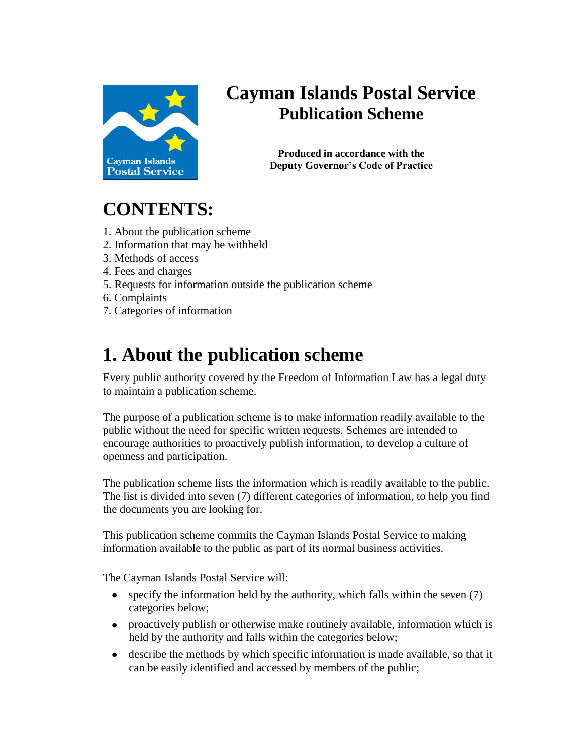

### **Cayman Islands Postal Service Publication Scheme**

**Produced in accordance with the Deputy Governor's Code of Practice**

## **CONTENTS:**

- 1. About the publication scheme
- 2. Information that may be withheld
- 3. Methods of access
- 4. Fees and charges
- 5. Requests for information outside the publication scheme
- 6. Complaints
- 7. Categories of information

## **1. About the publication scheme**

Every public authority covered by the Freedom of Information Law has a legal duty to maintain a publication scheme.

The purpose of a publication scheme is to make information readily available to the public without the need for specific written requests. Schemes are intended to encourage authorities to proactively publish information, to develop a culture of openness and participation.

The publication scheme lists the information which is readily available to the public. The list is divided into seven (7) different categories of information, to help you find the documents you are looking for.

This publication scheme commits the Cayman Islands Postal Service to making information available to the public as part of its normal business activities.

The Cayman Islands Postal Service will:

- specify the information held by the authority, which falls within the seven (7)  $\bullet$ categories below;
- proactively publish or otherwise make routinely available, information which is held by the authority and falls within the categories below;
- describe the methods by which specific information is made available, so that it can be easily identified and accessed by members of the public;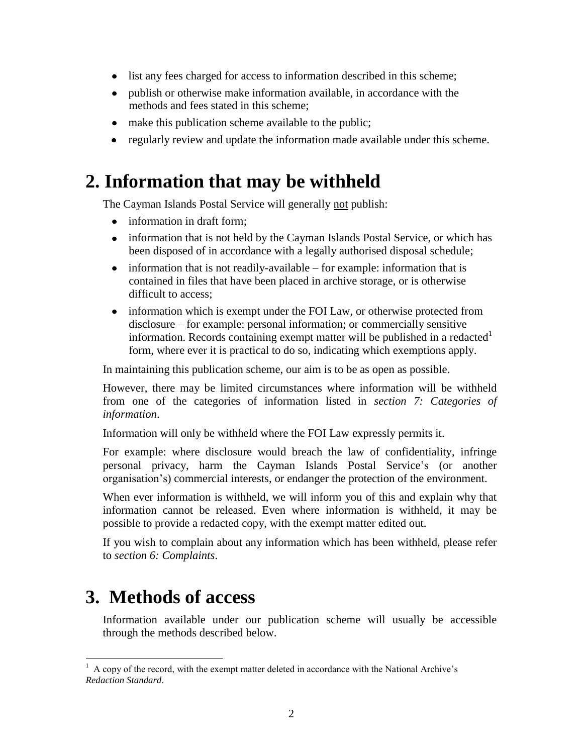- list any fees charged for access to information described in this scheme;  $\bullet$
- publish or otherwise make information available, in accordance with the methods and fees stated in this scheme;
- make this publication scheme available to the public;
- regularly review and update the information made available under this scheme.

### **2. Information that may be withheld**

The Cayman Islands Postal Service will generally not publish:

- information in draft form:
- information that is not held by the Cayman Islands Postal Service, or which has been disposed of in accordance with a legally authorised disposal schedule;
- $\bullet$  information that is not readily-available for example: information that is contained in files that have been placed in archive storage, or is otherwise difficult to access;
- information which is exempt under the FOI Law, or otherwise protected from disclosure – for example: personal information; or commercially sensitive information. Records containing exempt matter will be published in a redacted  $1$ form, where ever it is practical to do so, indicating which exemptions apply.

In maintaining this publication scheme, our aim is to be as open as possible.

However, there may be limited circumstances where information will be withheld from one of the categories of information listed in *section 7: Categories of information*.

Information will only be withheld where the FOI Law expressly permits it.

For example: where disclosure would breach the law of confidentiality, infringe personal privacy, harm the Cayman Islands Postal Service's (or another organisation's) commercial interests, or endanger the protection of the environment.

When ever information is withheld, we will inform you of this and explain why that information cannot be released. Even where information is withheld, it may be possible to provide a redacted copy, with the exempt matter edited out.

If you wish to complain about any information which has been withheld, please refer to *section 6: Complaints*.

### **3. Methods of access**

Information available under our publication scheme will usually be accessible through the methods described below.

 $\overline{a}$ <sup>1</sup> A copy of the record, with the exempt matter deleted in accordance with the National Archive's *Redaction Standard*.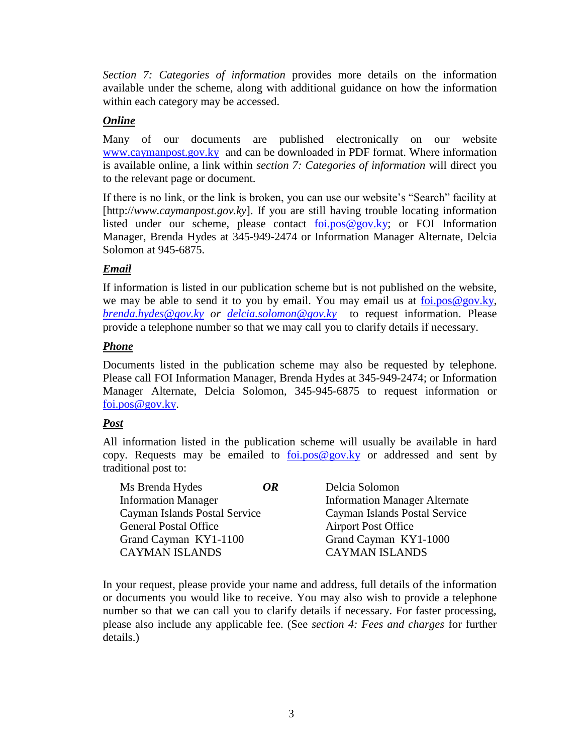*Section 7: Categories of information* provides more details on the information available under the scheme, along with additional guidance on how the information within each category may be accessed.

#### *Online*

Many of our documents are published electronically on our website [www.caymanpost.gov.ky](http://www.caymanpost.gov.ky/) and can be downloaded in PDF format. Where information is available online, a link within *section 7: Categories of information* will direct you to the relevant page or document.

If there is no link, or the link is broken, you can use our website's "Search" facility at [http://*www.caymanpost.gov.ky*]. If you are still having trouble locating information listed under our scheme, please contact [foi.pos@gov.ky;](mailto:foi.pos@gov.ky) or FOI Information Manager, Brenda Hydes at 345-949-2474 or Information Manager Alternate, Delcia Solomon at 945-6875.

#### *Email*

If information is listed in our publication scheme but is not published on the website, we may be able to send it to you by email. You may email us at [foi.pos@gov.ky,](mailto:foi.pos@gov.ky) *[brenda.hydes@gov.ky](mailto:brenda.hydes@gov.ky) or [delcia.solomon@gov.ky](mailto:delcia.solomon@gov.ky)* to request information. Please provide a telephone number so that we may call you to clarify details if necessary.

#### *Phone*

Documents listed in the publication scheme may also be requested by telephone. Please call FOI Information Manager, Brenda Hydes at 345-949-2474; or Information Manager Alternate, Delcia Solomon, 345-945-6875 to request information or [foi.pos@gov.ky.](mailto:foi.pos@gov.ky)

#### *Post*

All information listed in the publication scheme will usually be available in hard copy. Requests may be emailed to  $foi.pos@gov.ky$  or addressed and sent by traditional post to:

| Ms Brenda Hydes               | OR | Delcia Solomon                       |
|-------------------------------|----|--------------------------------------|
| <b>Information Manager</b>    |    | <b>Information Manager Alternate</b> |
| Cayman Islands Postal Service |    | Cayman Islands Postal Service        |
| <b>General Postal Office</b>  |    | <b>Airport Post Office</b>           |
| Grand Cayman KY1-1100         |    | Grand Cayman KY1-1000                |
| <b>CAYMAN ISLANDS</b>         |    | <b>CAYMAN ISLANDS</b>                |

In your request, please provide your name and address, full details of the information or documents you would like to receive. You may also wish to provide a telephone number so that we can call you to clarify details if necessary. For faster processing, please also include any applicable fee. (See *section 4: Fees and charges* for further details.)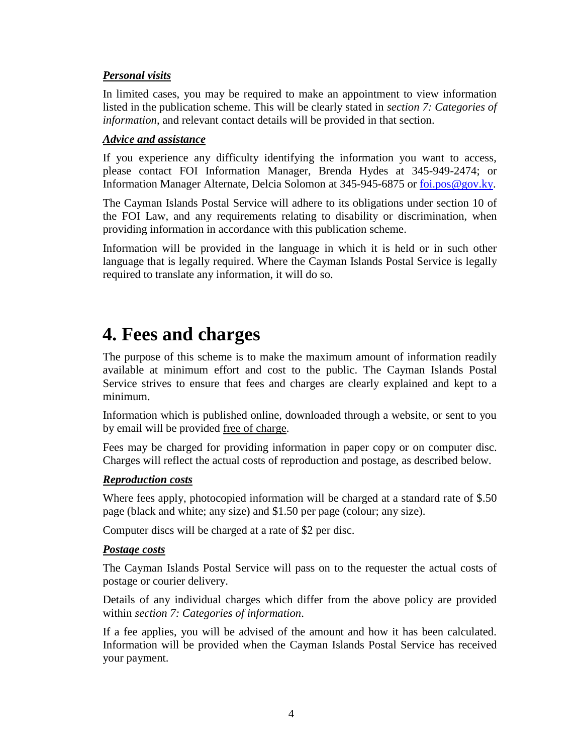#### *Personal visits*

In limited cases, you may be required to make an appointment to view information listed in the publication scheme. This will be clearly stated in *section 7: Categories of information*, and relevant contact details will be provided in that section.

#### *Advice and assistance*

If you experience any difficulty identifying the information you want to access, please contact FOI Information Manager, Brenda Hydes at 345-949-2474; or Information Manager Alternate, Delcia Solomon at 345-945-6875 or [foi.pos@gov.ky.](mailto:foi.pos@gov.ky)

The Cayman Islands Postal Service will adhere to its obligations under section 10 of the FOI Law, and any requirements relating to disability or discrimination, when providing information in accordance with this publication scheme.

Information will be provided in the language in which it is held or in such other language that is legally required. Where the Cayman Islands Postal Service is legally required to translate any information, it will do so.

### **4. Fees and charges**

The purpose of this scheme is to make the maximum amount of information readily available at minimum effort and cost to the public. The Cayman Islands Postal Service strives to ensure that fees and charges are clearly explained and kept to a minimum.

Information which is published online, downloaded through a website, or sent to you by email will be provided free of charge.

Fees may be charged for providing information in paper copy or on computer disc. Charges will reflect the actual costs of reproduction and postage, as described below.

#### *Reproduction costs*

Where fees apply, photocopied information will be charged at a standard rate of \$.50 page (black and white; any size) and \$1.50 per page (colour; any size).

Computer discs will be charged at a rate of \$2 per disc.

#### *Postage costs*

The Cayman Islands Postal Service will pass on to the requester the actual costs of postage or courier delivery.

Details of any individual charges which differ from the above policy are provided within *section 7: Categories of information*.

If a fee applies, you will be advised of the amount and how it has been calculated. Information will be provided when the Cayman Islands Postal Service has received your payment.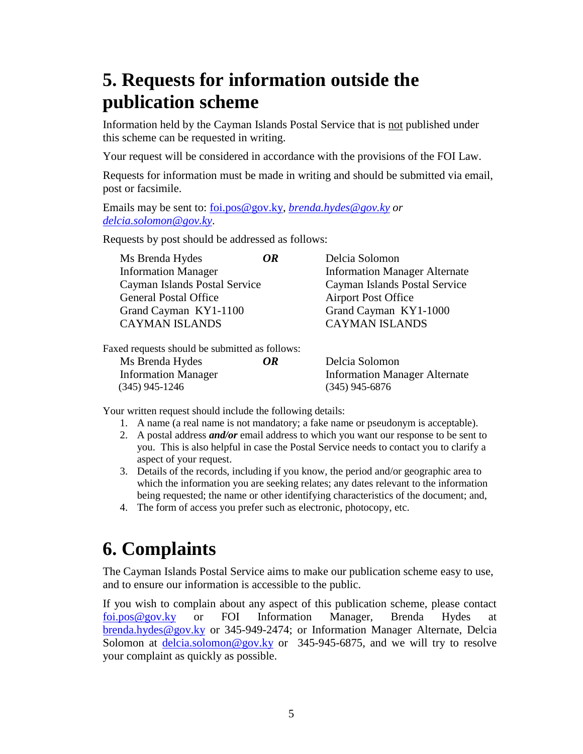## **5. Requests for information outside the publication scheme**

Information held by the Cayman Islands Postal Service that is not published under this scheme can be requested in writing.

Your request will be considered in accordance with the provisions of the FOI Law.

Requests for information must be made in writing and should be submitted via email, post or facsimile.

Emails may be sent to: [foi.pos@gov.ky,](mailto:foi.pos@gov.ky) *[brenda.hydes@gov.ky](mailto:brenda.hydes@gov.ky) or [delcia.solomon@gov.ky](mailto:delcia.solomon@gov.ky)*.

Requests by post should be addressed as follows:

| Ms Brenda Hydes                                | OR | Delcia Solomon                       |
|------------------------------------------------|----|--------------------------------------|
| <b>Information Manager</b>                     |    | <b>Information Manager Alternate</b> |
| Cayman Islands Postal Service                  |    | Cayman Islands Postal Service        |
| <b>General Postal Office</b>                   |    | <b>Airport Post Office</b>           |
| Grand Cayman KY1-1100                          |    | Grand Cayman KY1-1000                |
| <b>CAYMAN ISLANDS</b>                          |    | <b>CAYMAN ISLANDS</b>                |
| Faxed requests should be submitted as follows: |    |                                      |
| Ms Brenda Hydes                                | OR | Delcia Solomon                       |
| <b>Information Manager</b>                     |    | <b>Information Manager Alternate</b> |

Your written request should include the following details:

- 1. A name (a real name is not mandatory; a fake name or pseudonym is acceptable).
- 2. A postal address *and/or* email address to which you want our response to be sent to you. This is also helpful in case the Postal Service needs to contact you to clarify a aspect of your request.
- 3. Details of the records, including if you know, the period and/or geographic area to which the information you are seeking relates; any dates relevant to the information being requested; the name or other identifying characteristics of the document; and,
- 4. The form of access you prefer such as electronic, photocopy, etc.

(345) 945-1246 (345) 945-6876

## **6. Complaints**

The Cayman Islands Postal Service aims to make our publication scheme easy to use, and to ensure our information is accessible to the public.

If you wish to complain about any aspect of this publication scheme, please contact [foi.pos@gov.ky](mailto:foi.pos@gov.ky) or FOI Information Manager, Brenda Hydes at [brenda.hydes@gov.ky](mailto:brenda.hydes@gov.ky) or 345-949-2474; or Information Manager Alternate, Delcia Solomon at  $\frac{\text{delcia}}{\text{colomon}\ \omega}$  gov.ky or 345-945-6875, and we will try to resolve your complaint as quickly as possible.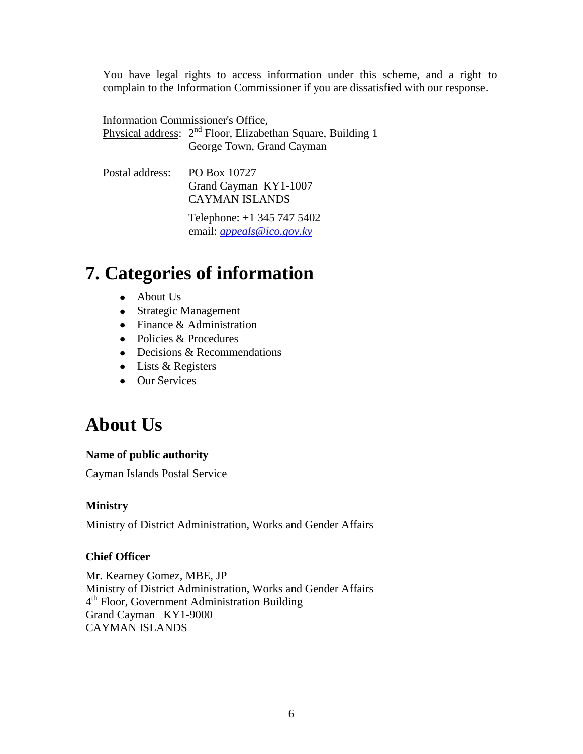You have legal rights to access information under this scheme, and a right to complain to the Information Commissioner if you are dissatisfied with our response.

Information Commissioner's Office, Physical address: 2<sup>nd</sup> Floor, Elizabethan Square, Building 1 George Town, Grand Cayman

Postal address: PO Box 10727 Grand Cayman KY1-1007 CAYMAN ISLANDS

> Telephone: +1 345 747 5402 email: *[appeals@ico.gov.ky](mailto:appeals@ico.gov.ky)*

## **7. Categories of information**

- About Us
- Strategic Management
- Finance & Administration
- Policies & Procedures
- Decisions & Recommendations
- Lists & Registers
- Our Services

## **About Us**

#### **Name of public authority**

Cayman Islands Postal Service

#### **Ministry**

Ministry of District Administration, Works and Gender Affairs

#### **Chief Officer**

Mr. Kearney Gomez, MBE, JP Ministry of District Administration, Works and Gender Affairs 4<sup>th</sup> Floor, Government Administration Building Grand Cayman KY1-9000 CAYMAN ISLANDS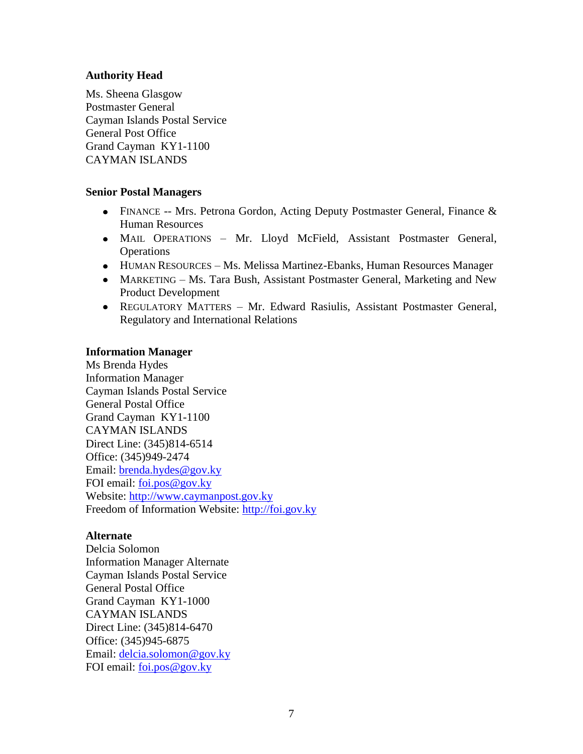#### **Authority Head**

Ms. Sheena Glasgow Postmaster General Cayman Islands Postal Service General Post Office Grand Cayman KY1-1100 CAYMAN ISLANDS

#### **Senior Postal Managers**

- FINANCE -- Mrs. Petrona Gordon, Acting Deputy Postmaster General, Finance & Human Resources
- MAIL OPERATIONS Mr. Lloyd McField, Assistant Postmaster General, **Operations**
- HUMAN RESOURCES Ms. Melissa Martinez-Ebanks, Human Resources Manager
- MARKETING Ms. Tara Bush, Assistant Postmaster General, Marketing and New Product Development
- REGULATORY MATTERS Mr. Edward Rasiulis, Assistant Postmaster General, Regulatory and International Relations

#### **Information Manager**

Ms Brenda Hydes Information Manager Cayman Islands Postal Service General Postal Office Grand Cayman KY1-1100 CAYMAN ISLANDS Direct Line: (345)814-6514 Office: (345)949-2474 Email: [brenda.hydes@gov.ky](mailto:brenda.hydes@gov.ky) FOI email: [foi.pos@gov.ky](mailto:foi.pos@gov.ky) Website: [http://www.caymanpost.gov.ky](http://www.caymanpost.gov.ky/) Freedom of Information Website: [http://foi.gov.ky](http://foi.gov.ky/)

#### **Alternate**

Delcia Solomon Information Manager Alternate Cayman Islands Postal Service General Postal Office Grand Cayman KY1-1000 CAYMAN ISLANDS Direct Line: (345)814-6470 Office: (345)945-6875 Email: [delcia.solomon@gov.ky](mailto:delcia.solomon@gov.ky) FOI email: [foi.pos@gov.ky](mailto:foi.pos@gov.ky)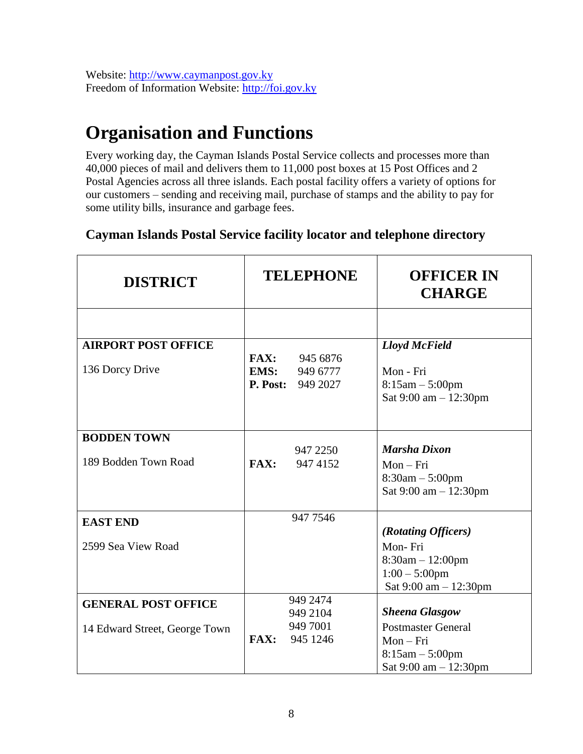Website: [http://www.caymanpost.gov.ky](http://www.caymanpost.gov.ky/) Freedom of Information Website: [http://foi.gov.ky](http://foi.gov.ky/)

## **Organisation and Functions**

Every working day, the Cayman Islands Postal Service collects and processes more than 40,000 pieces of mail and delivers them to 11,000 post boxes at 15 Post Offices and 2 Postal Agencies across all three islands. Each postal facility offers a variety of options for our customers – sending and receiving mail, purchase of stamps and the ability to pay for some utility bills, insurance and garbage fees.

### **Cayman Islands Postal Service facility locator and telephone directory**

| <b>DISTRICT</b>               | <b>TELEPHONE</b>         | <b>OFFICER IN</b><br><b>CHARGE</b>      |
|-------------------------------|--------------------------|-----------------------------------------|
|                               |                          |                                         |
| <b>AIRPORT POST OFFICE</b>    |                          | <b>Lloyd McField</b>                    |
|                               | FAX:<br>945 6876         |                                         |
| 136 Dorcy Drive               | EMS:<br>949 6777         | Mon - Fri                               |
|                               | <b>P. Post:</b> 949 2027 | $8:15am - 5:00pm$                       |
|                               |                          | Sat 9:00 am - 12:30pm                   |
|                               |                          |                                         |
| <b>BODDEN TOWN</b>            |                          |                                         |
|                               | 947 2250                 | <b>Marsha Dixon</b>                     |
| 189 Bodden Town Road          | <b>FAX:</b><br>947 4152  | $Mon-Fri$                               |
|                               |                          | $8:30am - 5:00pm$                       |
|                               |                          | Sat 9:00 am - 12:30pm                   |
| <b>EAST END</b>               | 947 7546                 |                                         |
|                               |                          | (Rotating Officers)                     |
| 2599 Sea View Road            |                          | Mon-Fri                                 |
|                               |                          | $8:30am - 12:00pm$                      |
|                               |                          | $1:00 - 5:00$ pm                        |
|                               |                          | Sat $9:00$ am $-12:30$ pm               |
| <b>GENERAL POST OFFICE</b>    | 949 2474                 |                                         |
|                               | 949 2104                 | <b>Sheena Glasgow</b>                   |
| 14 Edward Street, George Town | 949 7001                 | <b>Postmaster General</b>               |
|                               | FAX:<br>945 1246         | $Mon-Fri$                               |
|                               |                          | $8:15am - 5:00pm$                       |
|                               |                          | Sat $9:00 \text{ am} - 12:30 \text{pm}$ |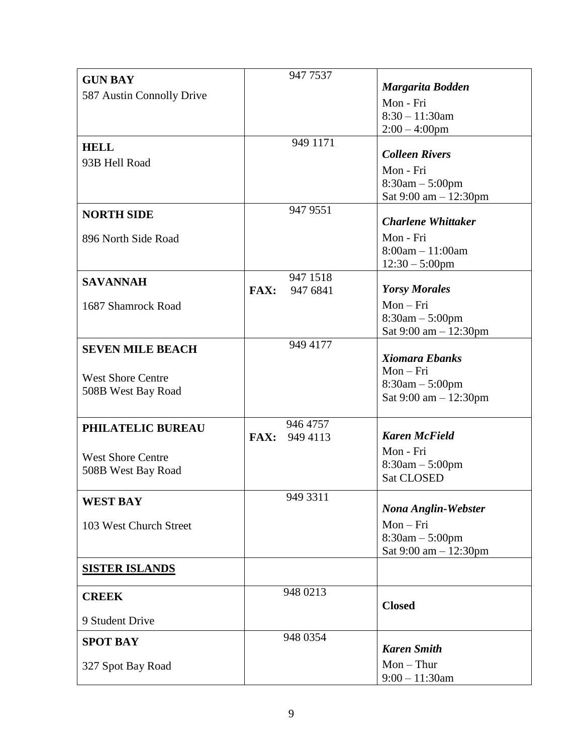| <b>GUN BAY</b>            | 947 7537                |                                         |
|---------------------------|-------------------------|-----------------------------------------|
| 587 Austin Connolly Drive |                         | <b>Margarita Bodden</b>                 |
|                           |                         | Mon - Fri                               |
|                           |                         | $8:30 - 11:30$ am                       |
|                           |                         | $2:00 - 4:00$ pm                        |
| <b>HELL</b>               | 949 1171                | <b>Colleen Rivers</b>                   |
| 93B Hell Road             |                         |                                         |
|                           |                         | Mon - Fri                               |
|                           |                         | $8:30am - 5:00pm$                       |
|                           | 947 9551                | Sat $9:00 \text{ am} - 12:30 \text{pm}$ |
| <b>NORTH SIDE</b>         |                         | <b>Charlene Whittaker</b>               |
| 896 North Side Road       |                         | Mon - Fri                               |
|                           |                         | $8:00am - 11:00am$                      |
|                           |                         | $12:30 - 5:00$ pm                       |
| <b>SAVANNAH</b>           | 947 1518                |                                         |
|                           | <b>FAX:</b><br>947 6841 | <b>Yorsy Morales</b>                    |
| 1687 Shamrock Road        |                         | $Mon-Fri$                               |
|                           |                         | $8:30am - 5:00pm$                       |
|                           |                         | Sat 9:00 am - 12:30pm                   |
| <b>SEVEN MILE BEACH</b>   | 949 4177                |                                         |
|                           |                         | <b>Xiomara Ebanks</b>                   |
| <b>West Shore Centre</b>  |                         | $Mon-Fri$                               |
| 508B West Bay Road        |                         | $8:30am - 5:00pm$                       |
|                           |                         | Sat $9:00 \text{ am} - 12:30 \text{pm}$ |
|                           | 946 4757                |                                         |
| PHILATELIC BUREAU         | FAX: 949 4113           | <b>Karen McField</b>                    |
|                           |                         | Mon - Fri                               |
| <b>West Shore Centre</b>  |                         | $8:30am - 5:00pm$                       |
| 508B West Bay Road        |                         | <b>Sat CLOSED</b>                       |
|                           | 949 3311                |                                         |
| <b>WEST BAY</b>           |                         | <b>Nona Anglin-Webster</b>              |
| 103 West Church Street    |                         | $Mon-Fri$                               |
|                           |                         | $8:30am - 5:00pm$                       |
|                           |                         | Sat $9:00 \text{ am} - 12:30 \text{pm}$ |
| <b>SISTER ISLANDS</b>     |                         |                                         |
|                           |                         |                                         |
| <b>CREEK</b>              | 948 0213                |                                         |
|                           |                         | <b>Closed</b>                           |
| 9 Student Drive           |                         |                                         |
| <b>SPOT BAY</b>           | 948 0354                |                                         |
|                           |                         | <b>Karen Smith</b>                      |
| 327 Spot Bay Road         |                         | $Mon - Thur$                            |
|                           |                         | $9:00 - 11:30$ am                       |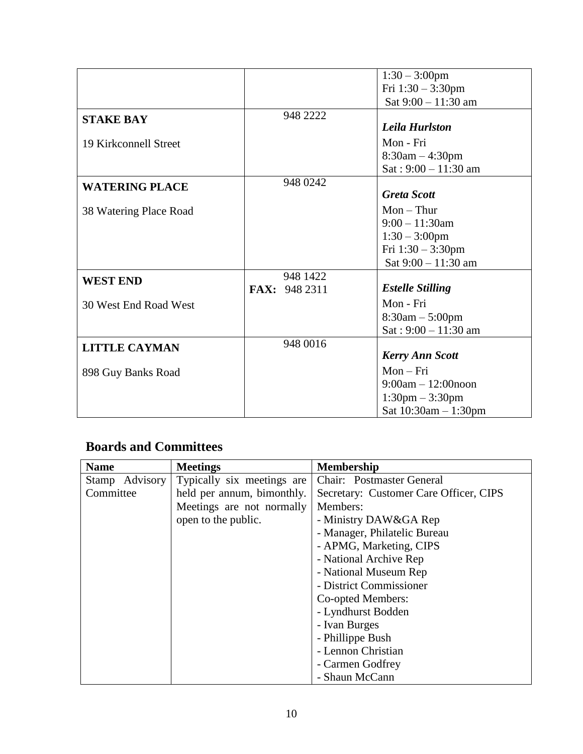|                        |               | $1:30 - 3:00$ pm                  |
|------------------------|---------------|-----------------------------------|
|                        |               | Fri $1:30 - 3:30$ pm              |
|                        |               | Sat 9:00 - 11:30 am               |
| <b>STAKE BAY</b>       | 948 2222      |                                   |
|                        |               | <b>Leila Hurlston</b>             |
| 19 Kirkconnell Street  |               | Mon - Fri                         |
|                        |               | $8:30am - 4:30pm$                 |
|                        |               | $Sat: 9:00 - 11:30$ am            |
| <b>WATERING PLACE</b>  | 948 0242      |                                   |
|                        |               | <b>Greta Scott</b>                |
| 38 Watering Place Road |               | $Mon - Thur$                      |
|                        |               | $9:00 - 11:30$ am                 |
|                        |               | $1:30 - 3:00$ pm                  |
|                        |               | Fri $1:30 - 3:30$ pm              |
|                        |               | Sat $9:00 - 11:30$ am             |
| <b>WEST END</b>        | 948 1422      |                                   |
|                        | FAX: 948 2311 | <b>Estelle Stilling</b>           |
| 30 West End Road West  |               | Mon - Fri                         |
|                        |               | $8:30am - 5:00pm$                 |
|                        |               | $Sat: 9:00 - 11:30$ am            |
| <b>LITTLE CAYMAN</b>   | 948 0016      |                                   |
|                        |               | <b>Kerry Ann Scott</b>            |
| 898 Guy Banks Road     |               | $Mon-Fri$                         |
|                        |               | $9:00am - 12:00n$ oon             |
|                        |               | $1:30 \text{pm} - 3:30 \text{pm}$ |
|                        |               | Sat 10:30am - 1:30pm              |

### **Boards and Committees**

| <b>Name</b>    | <b>Meetings</b>            | <b>Membership</b>                      |
|----------------|----------------------------|----------------------------------------|
| Stamp Advisory | Typically six meetings are | Chair: Postmaster General              |
| Committee      | held per annum, bimonthly. | Secretary: Customer Care Officer, CIPS |
|                | Meetings are not normally  | Members:                               |
|                | open to the public.        | - Ministry DAW&GA Rep                  |
|                |                            | - Manager, Philatelic Bureau           |
|                |                            | - APMG, Marketing, CIPS                |
|                |                            | - National Archive Rep                 |
|                |                            | - National Museum Rep                  |
|                |                            | - District Commissioner                |
|                |                            | Co-opted Members:                      |
|                |                            | - Lyndhurst Bodden                     |
|                |                            | - Ivan Burges                          |
|                |                            | - Phillippe Bush                       |
|                |                            | - Lennon Christian                     |
|                |                            | - Carmen Godfrey                       |
|                |                            | - Shaun McCann                         |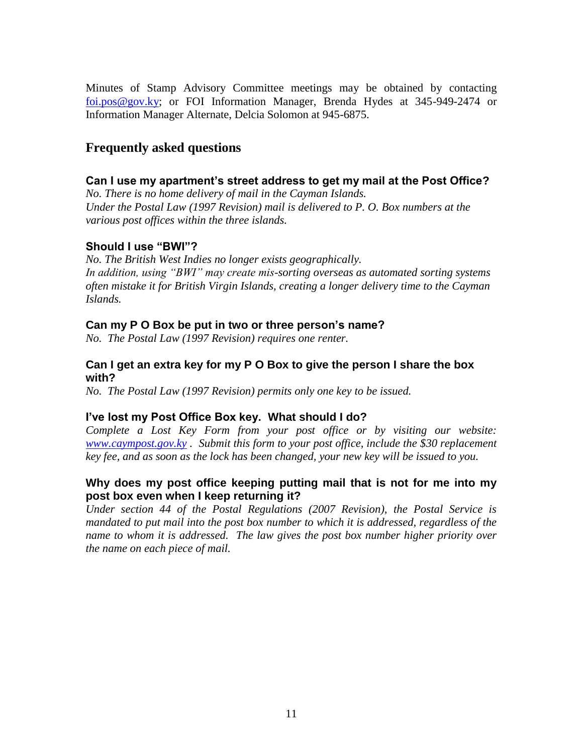Minutes of Stamp Advisory Committee meetings may be obtained by contacting [foi.pos@gov.ky;](mailto:foi.pos@gov.ky) or FOI Information Manager, Brenda Hydes at 345-949-2474 or Information Manager Alternate, Delcia Solomon at 945-6875.

### **Frequently asked questions**

#### **Can I use my apartment's street address to get my mail at the Post Office?**

*No. There is no home delivery of mail in the Cayman Islands. Under the Postal Law (1997 Revision) mail is delivered to P. O. Box numbers at the various post offices within the three islands.* 

#### **Should I use "BWI"?**

*No. The British West Indies no longer exists geographically. In addition, using "BWI" may create mis-sorting overseas as automated sorting systems often mistake it for British Virgin Islands, creating a longer delivery time to the Cayman Islands.* 

#### **Can my P O Box be put in two or three person's name?**

*No. The Postal Law (1997 Revision) requires one renter.* 

#### **Can I get an extra key for my P O Box to give the person I share the box with?**

*No. The Postal Law (1997 Revision) permits only one key to be issued.*

#### **I've lost my Post Office Box key. What should I do?**

*Complete a Lost Key Form from your post office or by visiting our website: [www.caympost.gov.ky](http://www.caympost.gov.ky/) . Submit this form to your post office, include the \$30 replacement key fee, and as soon as the lock has been changed, your new key will be issued to you.* 

#### **Why does my post office keeping putting mail that is not for me into my post box even when I keep returning it?**

*Under section 44 of the Postal Regulations (2007 Revision), the Postal Service is mandated to put mail into the post box number to which it is addressed, regardless of the name to whom it is addressed. The law gives the post box number higher priority over the name on each piece of mail.*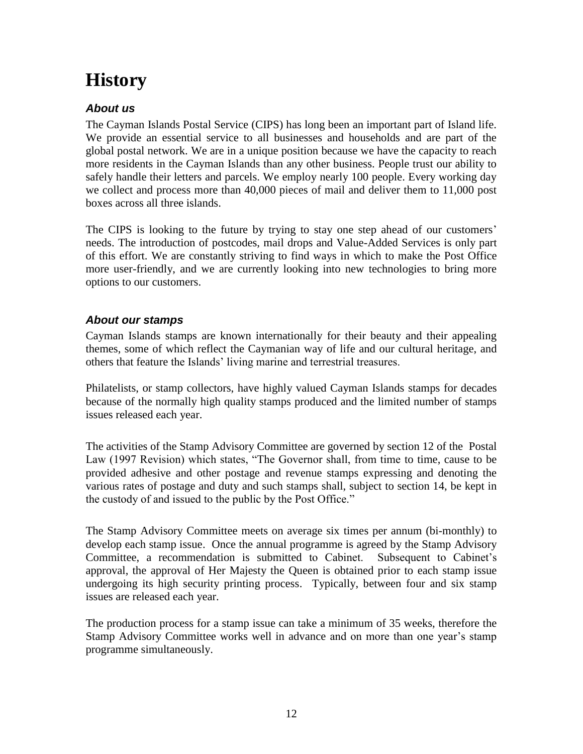# **History**

### *About us*

The Cayman Islands Postal Service (CIPS) has long been an important part of Island life. We provide an essential service to all businesses and households and are part of the global postal network. We are in a unique position because we have the capacity to reach more residents in the Cayman Islands than any other business. People trust our ability to safely handle their letters and parcels. We employ nearly 100 people. Every working day we collect and process more than 40,000 pieces of mail and deliver them to 11,000 post boxes across all three islands.

The CIPS is looking to the future by trying to stay one step ahead of our customers' needs. The introduction of postcodes, mail drops and Value-Added Services is only part of this effort. We are constantly striving to find ways in which to make the Post Office more user-friendly, and we are currently looking into new technologies to bring more options to our customers.

#### *About our stamps*

Cayman Islands stamps are known internationally for their beauty and their appealing themes, some of which reflect the Caymanian way of life and our cultural heritage, and others that feature the Islands' living marine and terrestrial treasures.

Philatelists, or stamp collectors, have highly valued Cayman Islands stamps for decades because of the normally high quality stamps produced and the limited number of stamps issues released each year.

The activities of the Stamp Advisory Committee are governed by section 12 of the Postal Law (1997 Revision) which states, "The Governor shall, from time to time, cause to be provided adhesive and other postage and revenue stamps expressing and denoting the various rates of postage and duty and such stamps shall, subject to section 14, be kept in the custody of and issued to the public by the Post Office."

The Stamp Advisory Committee meets on average six times per annum (bi-monthly) to develop each stamp issue. Once the annual programme is agreed by the Stamp Advisory Committee, a recommendation is submitted to Cabinet. Subsequent to Cabinet's approval, the approval of Her Majesty the Queen is obtained prior to each stamp issue undergoing its high security printing process. Typically, between four and six stamp issues are released each year.

The production process for a stamp issue can take a minimum of 35 weeks, therefore the Stamp Advisory Committee works well in advance and on more than one year's stamp programme simultaneously.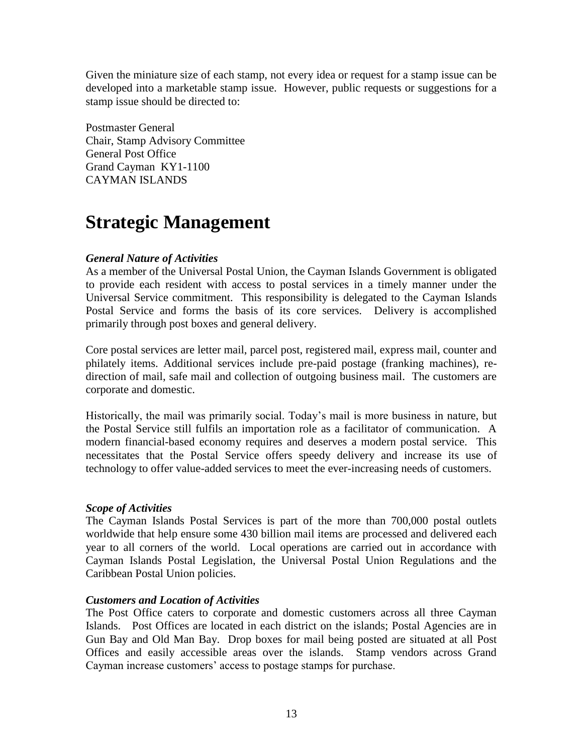Given the miniature size of each stamp, not every idea or request for a stamp issue can be developed into a marketable stamp issue. However, public requests or suggestions for a stamp issue should be directed to:

Postmaster General Chair, Stamp Advisory Committee General Post Office Grand Cayman KY1-1100 CAYMAN ISLANDS

### **Strategic Management**

#### *General Nature of Activities*

As a member of the Universal Postal Union, the Cayman Islands Government is obligated to provide each resident with access to postal services in a timely manner under the Universal Service commitment. This responsibility is delegated to the Cayman Islands Postal Service and forms the basis of its core services. Delivery is accomplished primarily through post boxes and general delivery.

Core postal services are letter mail, parcel post, registered mail, express mail, counter and philately items. Additional services include pre-paid postage (franking machines), redirection of mail, safe mail and collection of outgoing business mail. The customers are corporate and domestic.

Historically, the mail was primarily social. Today's mail is more business in nature, but the Postal Service still fulfils an importation role as a facilitator of communication. A modern financial-based economy requires and deserves a modern postal service. This necessitates that the Postal Service offers speedy delivery and increase its use of technology to offer value-added services to meet the ever-increasing needs of customers.

#### *Scope of Activities*

The Cayman Islands Postal Services is part of the more than 700,000 postal outlets worldwide that help ensure some 430 billion mail items are processed and delivered each year to all corners of the world. Local operations are carried out in accordance with Cayman Islands Postal Legislation, the Universal Postal Union Regulations and the Caribbean Postal Union policies.

#### *Customers and Location of Activities*

The Post Office caters to corporate and domestic customers across all three Cayman Islands. Post Offices are located in each district on the islands; Postal Agencies are in Gun Bay and Old Man Bay. Drop boxes for mail being posted are situated at all Post Offices and easily accessible areas over the islands. Stamp vendors across Grand Cayman increase customers' access to postage stamps for purchase.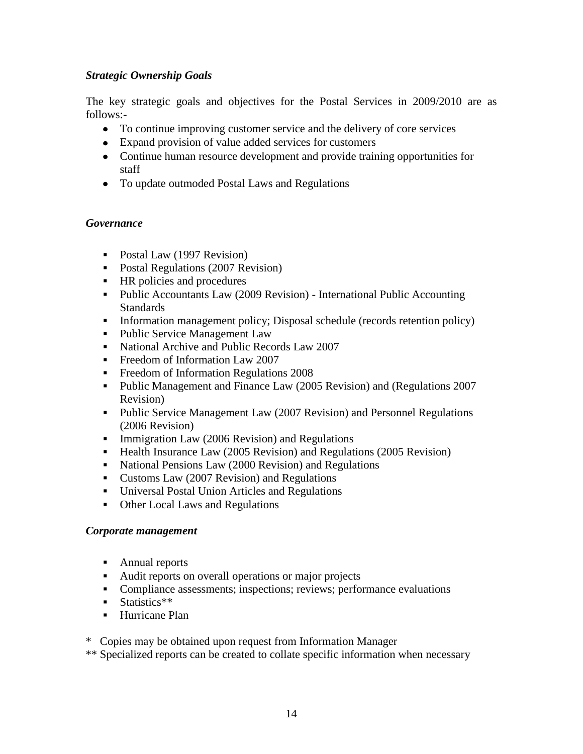#### *Strategic Ownership Goals*

The key strategic goals and objectives for the Postal Services in 2009/2010 are as follows:-

- To continue improving customer service and the delivery of core services
- Expand provision of value added services for customers
- Continue human resource development and provide training opportunities for staff
- To update outmoded Postal Laws and Regulations

#### *Governance*

- Postal Law (1997 Revision)
- Postal Regulations (2007 Revision)
- **HR** policies and procedures
- Public Accountants Law (2009 Revision) International Public Accounting Standards
- Information management policy; Disposal schedule (records retention policy)
- Public Service Management Law
- National Archive and Public Records Law 2007
- **Freedom of Information Law 2007**
- **Freedom of Information Regulations 2008**
- Public Management and Finance Law (2005 Revision) and (Regulations 2007 Revision)
- Public Service Management Law (2007 Revision) and Personnel Regulations (2006 Revision)
- **Immigration Law (2006 Revision) and Regulations**
- Health Insurance Law (2005 Revision) and Regulations (2005 Revision)
- National Pensions Law (2000 Revision) and Regulations
- Customs Law (2007 Revision) and Regulations
- Universal Postal Union Articles and Regulations
- Other Local Laws and Regulations

#### *Corporate management*

- Annual reports
- Audit reports on overall operations or major projects
- Compliance assessments; inspections; reviews; performance evaluations
- **Statistics\*\***
- **-** Hurricane Plan

\* Copies may be obtained upon request from Information Manager

\*\* Specialized reports can be created to collate specific information when necessary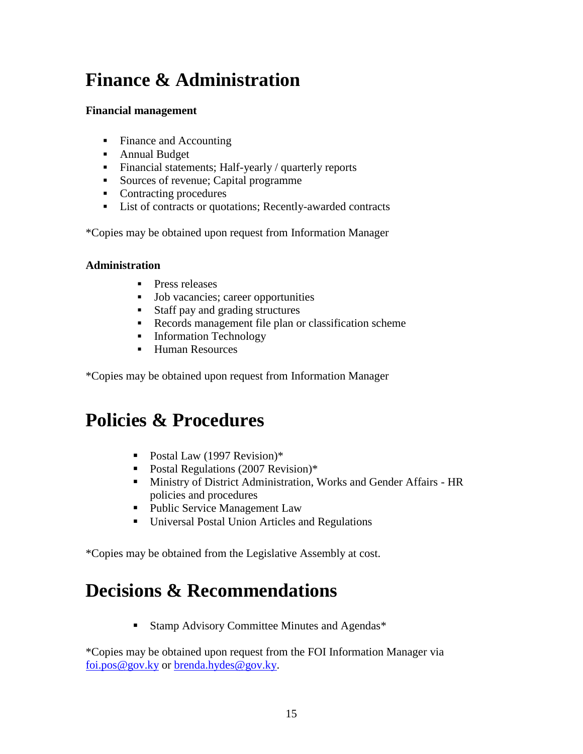# **Finance & Administration**

#### **Financial management**

- Finance and Accounting
- **Annual Budget**
- Financial statements; Half-yearly / quarterly reports
- Sources of revenue; Capital programme
- Contracting procedures
- List of contracts or quotations; Recently-awarded contracts

\*Copies may be obtained upon request from Information Manager

#### **Administration**

- **Press releases**
- **Job vacancies**; career opportunities
- Staff pay and grading structures
- Records management file plan or classification scheme
- **Information Technology**
- Human Resources

\*Copies may be obtained upon request from Information Manager

## **Policies & Procedures**

- Postal Law (1997 Revision)\*
- Postal Regulations (2007 Revision)\*
- Ministry of District Administration, Works and Gender Affairs HR policies and procedures
- Public Service Management Law
- Universal Postal Union Articles and Regulations

\*Copies may be obtained from the Legislative Assembly at cost.

### **Decisions & Recommendations**

■ Stamp Advisory Committee Minutes and Agendas<sup>\*</sup>

\*Copies may be obtained upon request from the FOI Information Manager via [foi.pos@gov.ky](mailto:foi.pos@gov.ky) or [brenda.hydes@gov.ky.](mailto:brenda.hydes@gov.ky)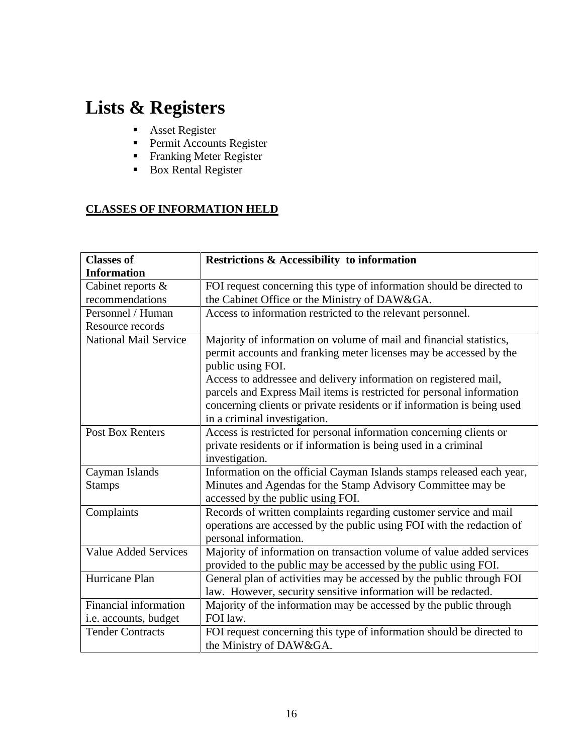# **Lists & Registers**

- **Asset Register**
- Permit Accounts Register
- Franking Meter Register
- Box Rental Register

### **CLASSES OF INFORMATION HELD**

| <b>Classes of</b>            | <b>Restrictions &amp; Accessibility to information</b>                  |
|------------------------------|-------------------------------------------------------------------------|
| <b>Information</b>           |                                                                         |
| Cabinet reports &            | FOI request concerning this type of information should be directed to   |
| recommendations              | the Cabinet Office or the Ministry of DAW&GA.                           |
| Personnel / Human            | Access to information restricted to the relevant personnel.             |
| Resource records             |                                                                         |
| <b>National Mail Service</b> | Majority of information on volume of mail and financial statistics,     |
|                              | permit accounts and franking meter licenses may be accessed by the      |
|                              | public using FOI.                                                       |
|                              | Access to addressee and delivery information on registered mail,        |
|                              | parcels and Express Mail items is restricted for personal information   |
|                              | concerning clients or private residents or if information is being used |
|                              | in a criminal investigation.                                            |
| <b>Post Box Renters</b>      | Access is restricted for personal information concerning clients or     |
|                              | private residents or if information is being used in a criminal         |
|                              | investigation.                                                          |
| Cayman Islands               | Information on the official Cayman Islands stamps released each year,   |
| <b>Stamps</b>                | Minutes and Agendas for the Stamp Advisory Committee may be             |
|                              | accessed by the public using FOI.                                       |
| Complaints                   | Records of written complaints regarding customer service and mail       |
|                              | operations are accessed by the public using FOI with the redaction of   |
|                              | personal information.                                                   |
| <b>Value Added Services</b>  | Majority of information on transaction volume of value added services   |
|                              | provided to the public may be accessed by the public using FOI.         |
| Hurricane Plan               | General plan of activities may be accessed by the public through FOI    |
|                              | law. However, security sensitive information will be redacted.          |
| Financial information        | Majority of the information may be accessed by the public through       |
| i.e. accounts, budget        | FOI law.                                                                |
| <b>Tender Contracts</b>      | FOI request concerning this type of information should be directed to   |
|                              | the Ministry of DAW&GA.                                                 |